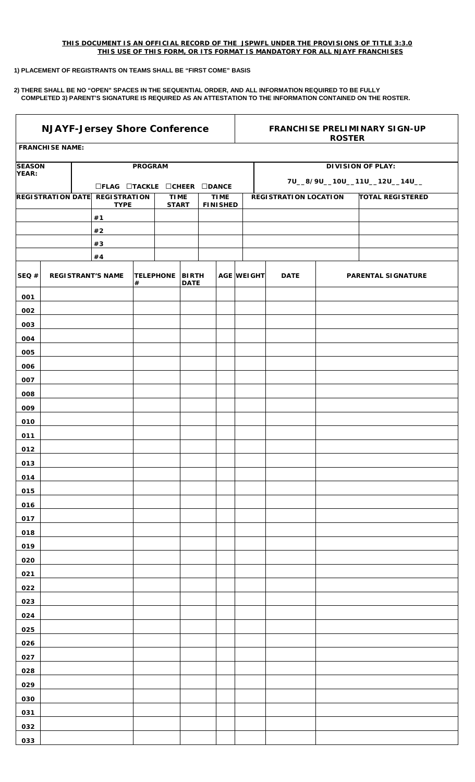## *THIS DOCUMENT IS AN OFFICIAL RECORD OF THE JSPWFL UNDER THE PROVISIONS OF TITLE 3:3.0 THIS USE OF THIS FORM, OR ITS FORMAT IS MANDATORY FOR ALL NJAYF FRANCHISES*

## **1) PLACEMENT OF REGISTRANTS ON TEAMS SHALL BE "FIRST COME" BASIS**

**2) THERE SHALL BE NO "OPEN" SPACES IN THE SEQUENTIAL ORDER, AND ALL INFORMATION REQUIRED TO BE FULLY COMPLETED 3) PARENT'S SIGNATURE IS REQUIRED AS AN ATTESTATION TO THE INFORMATION CONTAINED ON THE ROSTER.** 

| <b>NJAYF-Jersey Shore Conference</b> |                          |  |                                    |                |                  |                                                               | <b>FRANCHISE PRELIMINARY SIGN-UP</b><br><b>ROSTER</b> |  |                                |             |                         |                          |  |  |
|--------------------------------------|--------------------------|--|------------------------------------|----------------|------------------|---------------------------------------------------------------|-------------------------------------------------------|--|--------------------------------|-------------|-------------------------|--------------------------|--|--|
|                                      | <b>FRANCHISE NAME:</b>   |  |                                    |                |                  |                                                               |                                                       |  |                                |             |                         |                          |  |  |
| <b>SEASON</b>                        |                          |  |                                    | <b>PROGRAM</b> |                  |                                                               |                                                       |  |                                |             |                         | <b>DIVISION OF PLAY:</b> |  |  |
| YEAR:                                |                          |  |                                    |                |                  |                                                               |                                                       |  |                                |             |                         |                          |  |  |
|                                      |                          |  | □FLAG □TACKLE □CHEER □DANCE        |                |                  |                                                               |                                                       |  | 7U__8/9U__10U__11U__12U__14U__ |             |                         |                          |  |  |
|                                      | <b>REGISTRATION DATE</b> |  | <b>REGISTRATION</b><br><b>TYPE</b> |                |                  | <b>TIME</b><br><b>TIME</b><br><b>START</b><br><b>FINISHED</b> |                                                       |  | <b>REGISTRATION LOCATION</b>   |             | <b>TOTAL REGISTERED</b> |                          |  |  |
|                                      |                          |  | #1                                 |                |                  |                                                               |                                                       |  |                                |             |                         |                          |  |  |
|                                      |                          |  | #2                                 |                |                  |                                                               |                                                       |  |                                |             |                         |                          |  |  |
|                                      |                          |  | $\#3$                              |                |                  |                                                               |                                                       |  |                                |             |                         |                          |  |  |
|                                      |                          |  | #4                                 |                |                  |                                                               |                                                       |  |                                |             |                         |                          |  |  |
| SEQ#                                 |                          |  | <b>REGISTRANT'S NAME</b>           | #              | <b>TELEPHONE</b> | <b>BIRTH</b><br><b>DATE</b>                                   |                                                       |  | AGE WEIGHT                     | <b>DATE</b> |                         | PARENTAL SIGNATURE       |  |  |
| 001                                  |                          |  |                                    |                |                  |                                                               |                                                       |  |                                |             |                         |                          |  |  |
| 002                                  |                          |  |                                    |                |                  |                                                               |                                                       |  |                                |             |                         |                          |  |  |
| 003                                  |                          |  |                                    |                |                  |                                                               |                                                       |  |                                |             |                         |                          |  |  |
| 004                                  |                          |  |                                    |                |                  |                                                               |                                                       |  |                                |             |                         |                          |  |  |
| 005                                  |                          |  |                                    |                |                  |                                                               |                                                       |  |                                |             |                         |                          |  |  |
| 006                                  |                          |  |                                    |                |                  |                                                               |                                                       |  |                                |             |                         |                          |  |  |
| 007                                  |                          |  |                                    |                |                  |                                                               |                                                       |  |                                |             |                         |                          |  |  |
| 008                                  |                          |  |                                    |                |                  |                                                               |                                                       |  |                                |             |                         |                          |  |  |
| 009                                  |                          |  |                                    |                |                  |                                                               |                                                       |  |                                |             |                         |                          |  |  |
| 010                                  |                          |  |                                    |                |                  |                                                               |                                                       |  |                                |             |                         |                          |  |  |
| 011                                  |                          |  |                                    |                |                  |                                                               |                                                       |  |                                |             |                         |                          |  |  |
| 012                                  |                          |  |                                    |                |                  |                                                               |                                                       |  |                                |             |                         |                          |  |  |
| 013                                  |                          |  |                                    |                |                  |                                                               |                                                       |  |                                |             |                         |                          |  |  |
| 014                                  |                          |  |                                    |                |                  |                                                               |                                                       |  |                                |             |                         |                          |  |  |
| 015                                  |                          |  |                                    |                |                  |                                                               |                                                       |  |                                |             |                         |                          |  |  |
| 016                                  |                          |  |                                    |                |                  |                                                               |                                                       |  |                                |             |                         |                          |  |  |
| 017                                  |                          |  |                                    |                |                  |                                                               |                                                       |  |                                |             |                         |                          |  |  |
| 018                                  |                          |  |                                    |                |                  |                                                               |                                                       |  |                                |             |                         |                          |  |  |
| 019                                  |                          |  |                                    |                |                  |                                                               |                                                       |  |                                |             |                         |                          |  |  |
| 020                                  |                          |  |                                    |                |                  |                                                               |                                                       |  |                                |             |                         |                          |  |  |
| 021                                  |                          |  |                                    |                |                  |                                                               |                                                       |  |                                |             |                         |                          |  |  |
| 022                                  |                          |  |                                    |                |                  |                                                               |                                                       |  |                                |             |                         |                          |  |  |
| 023<br>024                           |                          |  |                                    |                |                  |                                                               |                                                       |  |                                |             |                         |                          |  |  |
| 025                                  |                          |  |                                    |                |                  |                                                               |                                                       |  |                                |             |                         |                          |  |  |
| 026                                  |                          |  |                                    |                |                  |                                                               |                                                       |  |                                |             |                         |                          |  |  |
| 027                                  |                          |  |                                    |                |                  |                                                               |                                                       |  |                                |             |                         |                          |  |  |
| 028                                  |                          |  |                                    |                |                  |                                                               |                                                       |  |                                |             |                         |                          |  |  |
| 029                                  |                          |  |                                    |                |                  |                                                               |                                                       |  |                                |             |                         |                          |  |  |
| 030                                  |                          |  |                                    |                |                  |                                                               |                                                       |  |                                |             |                         |                          |  |  |
| 031                                  |                          |  |                                    |                |                  |                                                               |                                                       |  |                                |             |                         |                          |  |  |
| 032                                  |                          |  |                                    |                |                  |                                                               |                                                       |  |                                |             |                         |                          |  |  |
| 033                                  |                          |  |                                    |                |                  |                                                               |                                                       |  |                                |             |                         |                          |  |  |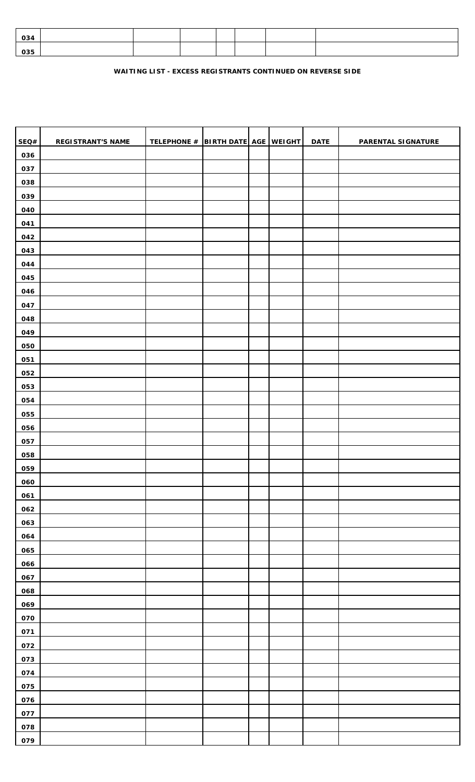| 034 |  |  |  |  |
|-----|--|--|--|--|
| 035 |  |  |  |  |

## **WAITING LIST - EXCESS REGISTRANTS CONTINUED ON REVERSE SIDE**

| SEQ# | <b>REGISTRANT'S NAME</b> | TELEPHONE # BIRTH DATE AGE WEIGHT |  | <b>DATE</b> | PARENTAL SIGNATURE |
|------|--------------------------|-----------------------------------|--|-------------|--------------------|
| 036  |                          |                                   |  |             |                    |
| 037  |                          |                                   |  |             |                    |
| 038  |                          |                                   |  |             |                    |
| 039  |                          |                                   |  |             |                    |
| 040  |                          |                                   |  |             |                    |
| 041  |                          |                                   |  |             |                    |
| 042  |                          |                                   |  |             |                    |
| 043  |                          |                                   |  |             |                    |
| 044  |                          |                                   |  |             |                    |
| 045  |                          |                                   |  |             |                    |
| 046  |                          |                                   |  |             |                    |
| 047  |                          |                                   |  |             |                    |
| 048  |                          |                                   |  |             |                    |
| 049  |                          |                                   |  |             |                    |
| 050  |                          |                                   |  |             |                    |
| 051  |                          |                                   |  |             |                    |
| 052  |                          |                                   |  |             |                    |
| 053  |                          |                                   |  |             |                    |
| 054  |                          |                                   |  |             |                    |
| 055  |                          |                                   |  |             |                    |
| 056  |                          |                                   |  |             |                    |
| 057  |                          |                                   |  |             |                    |
| 058  |                          |                                   |  |             |                    |
| 059  |                          |                                   |  |             |                    |
| 060  |                          |                                   |  |             |                    |
| 061  |                          |                                   |  |             |                    |
| 062  |                          |                                   |  |             |                    |
| 063  |                          |                                   |  |             |                    |
| 064  |                          |                                   |  |             |                    |
| 065  |                          |                                   |  |             |                    |
| 066  |                          |                                   |  |             |                    |
| 067  |                          |                                   |  |             |                    |
| 068  |                          |                                   |  |             |                    |
| 069  |                          |                                   |  |             |                    |
| 070  |                          |                                   |  |             |                    |
| 071  |                          |                                   |  |             |                    |
| 072  |                          |                                   |  |             |                    |
| 073  |                          |                                   |  |             |                    |
| 074  |                          |                                   |  |             |                    |
| 075  |                          |                                   |  |             |                    |
| 076  |                          |                                   |  |             |                    |
| 077  |                          |                                   |  |             |                    |
| 078  |                          |                                   |  |             |                    |
| 079  |                          |                                   |  |             |                    |